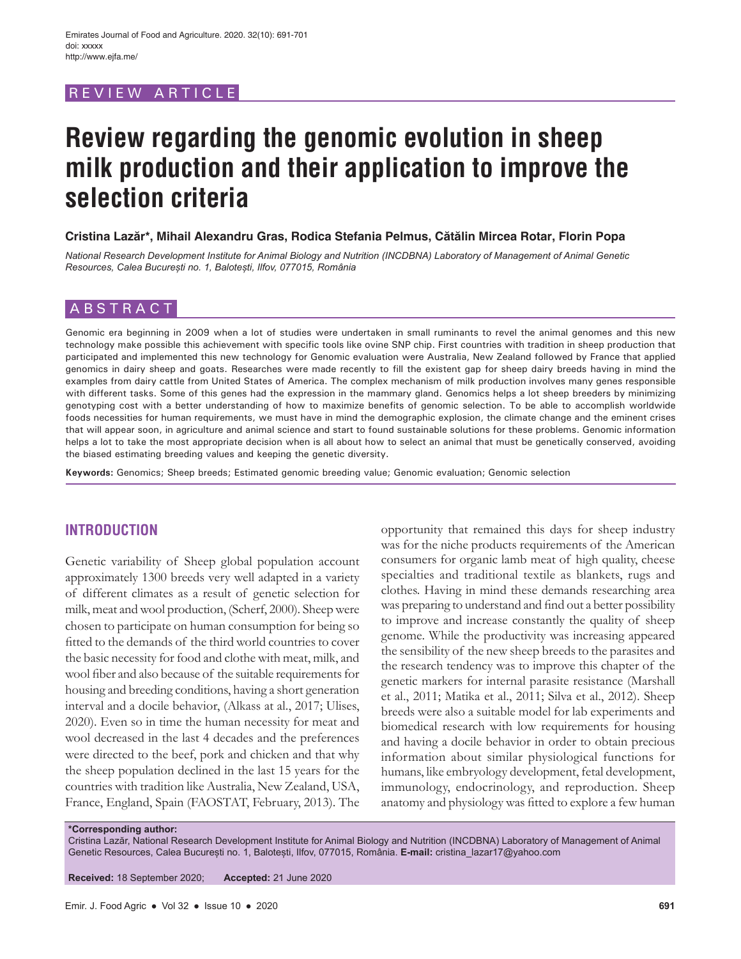# REVIEW ARTICLE

# **Review regarding the genomic evolution in sheep milk production and their application to improve the selection criteria**

#### **Cristina Lazăr\*, Mihail Alexandru Gras, Rodica Stefania Pelmus, Cătălin Mircea Rotar, Florin Popa**

*National Research Development Institute for Animal Biology and Nutrition (INCDBNA) Laboratory of Management of Animal Genetic Resources, Calea București no. 1, Balotești, Ilfov, 077015, România*

## ABSTRACT

Genomic era beginning in 2009 when a lot of studies were undertaken in small ruminants to revel the animal genomes and this new technology make possible this achievement with specific tools like ovine SNP chip. First countries with tradition in sheep production that participated and implemented this new technology for Genomic evaluation were Australia, New Zealand followed by France that applied genomics in dairy sheep and goats. Researches were made recently to fill the existent gap for sheep dairy breeds having in mind the examples from dairy cattle from United States of America. The complex mechanism of milk production involves many genes responsible with different tasks. Some of this genes had the expression in the mammary gland. Genomics helps a lot sheep breeders by minimizing genotyping cost with a better understanding of how to maximize benefits of genomic selection. To be able to accomplish worldwide foods necessities for human requirements, we must have in mind the demographic explosion, the climate change and the eminent crises that will appear soon, in agriculture and animal science and start to found sustainable solutions for these problems. Genomic information helps a lot to take the most appropriate decision when is all about how to select an animal that must be genetically conserved, avoiding the biased estimating breeding values and keeping the genetic diversity.

**Keywords:** Genomics; Sheep breeds; Estimated genomic breeding value; Genomic evaluation; Genomic selection

# **INTRODUCTION**

Genetic variability of Sheep global population account approximately 1300 breeds very well adapted in a variety of different climates as a result of genetic selection for milk, meat and wool production, (Scherf, 2000). Sheep were chosen to participate on human consumption for being so fitted to the demands of the third world countries to cover the basic necessity for food and clothe with meat, milk, and wool fiber and also because of the suitable requirements for housing and breeding conditions, having a short generation interval and a docile behavior, (Alkass at al., 2017; Ulises, 2020). Even so in time the human necessity for meat and wool decreased in the last 4 decades and the preferences were directed to the beef, pork and chicken and that why the sheep population declined in the last 15 years for the countries with tradition like Australia, New Zealand, USA, France, England, Spain (FAOSTAT, February, 2013). The opportunity that remained this days for sheep industry was for the niche products requirements of the American consumers for organic lamb meat of high quality, cheese specialties and traditional textile as blankets, rugs and clothes. Having in mind these demands researching area was preparing to understand and find out a better possibility to improve and increase constantly the quality of sheep genome. While the productivity was increasing appeared the sensibility of the new sheep breeds to the parasites and the research tendency was to improve this chapter of the genetic markers for internal parasite resistance (Marshall et al., 2011; Matika et al., 2011; Silva et al., 2012). Sheep breeds were also a suitable model for lab experiments and biomedical research with low requirements for housing and having a docile behavior in order to obtain precious information about similar physiological functions for humans, like embryology development, fetal development, immunology, endocrinology, and reproduction. Sheep anatomy and physiology was fitted to explore a few human

#### **\*Corresponding author:**

Cristina Lazăr, National Research Development Institute for Animal Biology and Nutrition (INCDBNA) Laboratory of Management of Animal Genetic Resources, Calea București no. 1, Balotești, Ilfov, 077015, România. **E-mail:** cristina\_lazar17@yahoo.com

**Received:** 18 September 2020; **Accepted:** 21 June 2020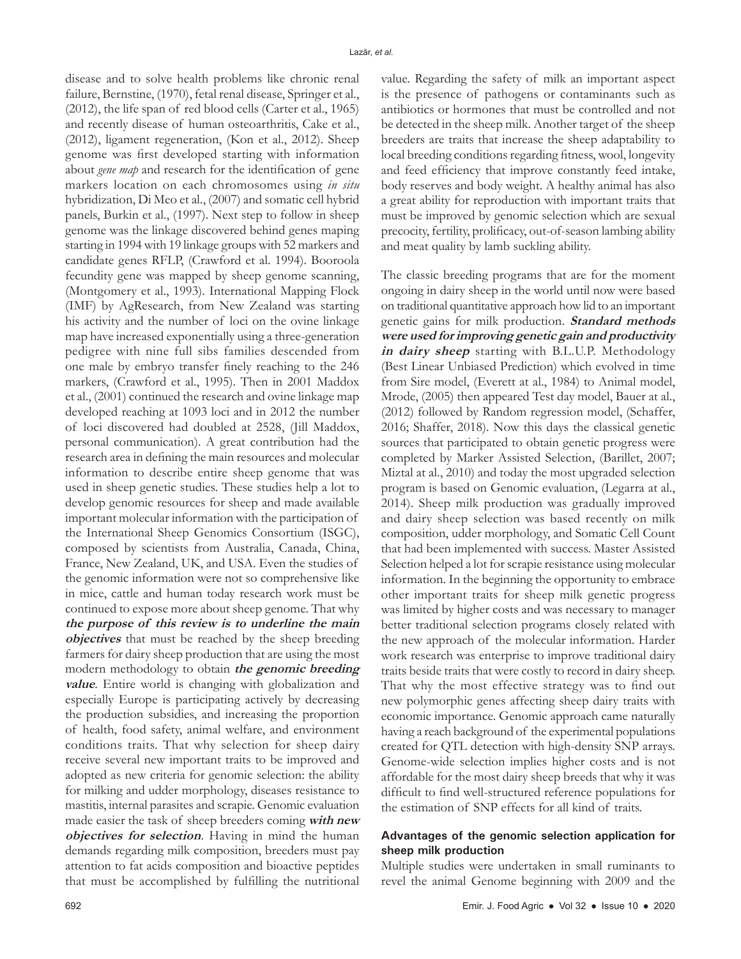disease and to solve health problems like chronic renal failure, Bernstine, (1970), fetal renal disease, Springer et al., (2012), the life span of red blood cells (Carter et al., 1965) and recently disease of human osteoarthritis, Cake et al., (2012), ligament regeneration, (Kon et al., 2012). Sheep genome was first developed starting with information about *gene map* and research for the identification of gene markers location on each chromosomes using *in situ* hybridization, Di Meo et al., (2007) and somatic cell hybrid panels, Burkin et al., (1997). Next step to follow in sheep genome was the linkage discovered behind genes maping starting in 1994 with 19 linkage groups with 52 markers and candidate genes RFLP, (Crawford et al. 1994). Booroola fecundity gene was mapped by sheep genome scanning, (Montgomery et al., 1993). International Mapping Flock (IMF) by AgResearch, from New Zealand was starting his activity and the number of loci on the ovine linkage map have increased exponentially using a three-generation pedigree with nine full sibs families descended from one male by embryo transfer finely reaching to the 246 markers, (Crawford et al., 1995). Then in 2001 Maddox et al., (2001) continued the research and ovine linkage map developed reaching at 1093 loci and in 2012 the number of loci discovered had doubled at 2528, (Jill Maddox, personal communication). A great contribution had the research area in defining the main resources and molecular information to describe entire sheep genome that was used in sheep genetic studies. These studies help a lot to develop genomic resources for sheep and made available important molecular information with the participation of the International Sheep Genomics Consortium (ISGC), composed by scientists from Australia, Canada, China, France, New Zealand, UK, and USA. Even the studies of the genomic information were not so comprehensive like in mice, cattle and human today research work must be continued to expose more about sheep genome. That why **the purpose of this review is to underline the main objectives** that must be reached by the sheep breeding farmers for dairy sheep production that are using the most modern methodology to obtain **the genomic breeding value**. Entire world is changing with globalization and especially Europe is participating actively by decreasing the production subsidies, and increasing the proportion of health, food safety, animal welfare, and environment conditions traits. That why selection for sheep dairy receive several new important traits to be improved and adopted as new criteria for genomic selection: the ability for milking and udder morphology, diseases resistance to mastitis, internal parasites and scrapie. Genomic evaluation made easier the task of sheep breeders coming **with new objectives for selection**. Having in mind the human demands regarding milk composition, breeders must pay attention to fat acids composition and bioactive peptides that must be accomplished by fulfilling the nutritional

value. Regarding the safety of milk an important aspect is the presence of pathogens or contaminants such as antibiotics or hormones that must be controlled and not be detected in the sheep milk. Another target of the sheep breeders are traits that increase the sheep adaptability to local breeding conditions regarding fitness, wool, longevity and feed efficiency that improve constantly feed intake, body reserves and body weight. A healthy animal has also a great ability for reproduction with important traits that must be improved by genomic selection which are sexual precocity, fertility, prolificacy, out-of-season lambing ability and meat quality by lamb suckling ability.

The classic breeding programs that are for the moment ongoing in dairy sheep in the world until now were based on traditional quantitative approach how lid to an important genetic gains for milk production. **Standard methods were used for improving genetic gain and productivity in dairy sheep** starting with B.L.U.P. Methodology (Best Linear Unbiased Prediction) which evolved in time from Sire model, (Everett at al., 1984) to Animal model, Mrode, (2005) then appeared Test day model, Bauer at al., (2012) followed by Random regression model, (Schaffer, 2016; Shaffer, 2018). Now this days the classical genetic sources that participated to obtain genetic progress were completed by Marker Assisted Selection, (Barillet, 2007; Miztal at al., 2010) and today the most upgraded selection program is based on Genomic evaluation, (Legarra at al., 2014). Sheep milk production was gradually improved and dairy sheep selection was based recently on milk composition, udder morphology, and Somatic Cell Count that had been implemented with success. Master Assisted Selection helped a lot for scrapie resistance using molecular information. In the beginning the opportunity to embrace other important traits for sheep milk genetic progress was limited by higher costs and was necessary to manager better traditional selection programs closely related with the new approach of the molecular information. Harder work research was enterprise to improve traditional dairy traits beside traits that were costly to record in dairy sheep. That why the most effective strategy was to find out new polymorphic genes affecting sheep dairy traits with economic importance. Genomic approach came naturally having a reach background of the experimental populations created for QTL detection with high-density SNP arrays. Genome-wide selection implies higher costs and is not affordable for the most dairy sheep breeds that why it was difficult to find well-structured reference populations for the estimation of SNP effects for all kind of traits.

# **Advantages of the genomic selection application for sheep milk production**

Multiple studies were undertaken in small ruminants to revel the animal Genome beginning with 2009 and the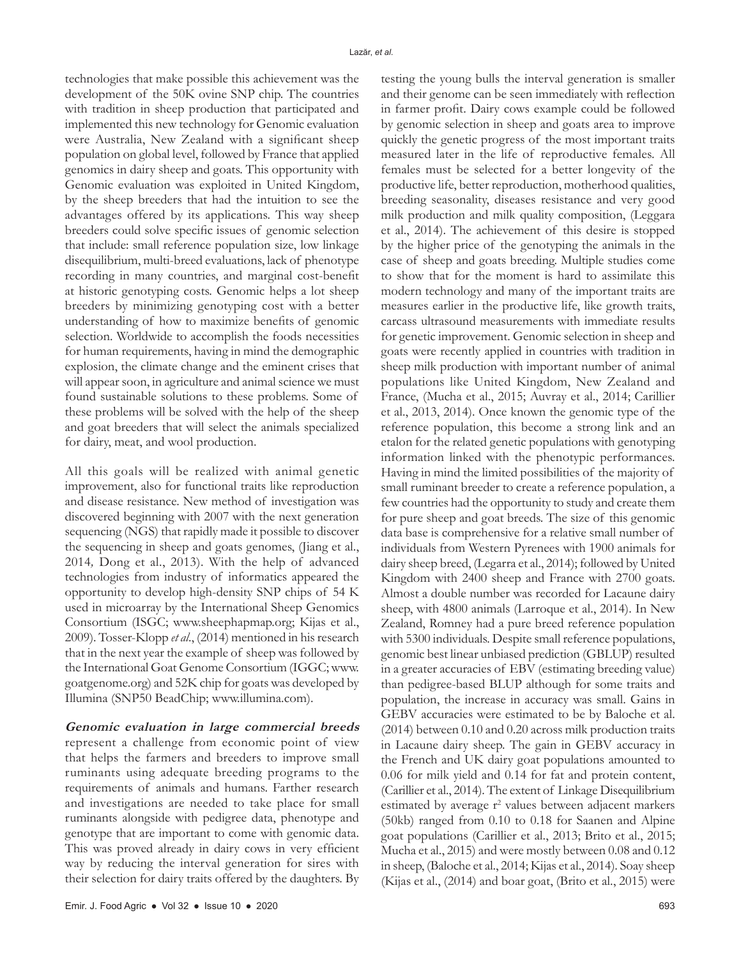technologies that make possible this achievement was the development of the 50K ovine SNP chip. The countries with tradition in sheep production that participated and implemented this new technology for Genomic evaluation were Australia, New Zealand with a significant sheep population on global level, followed by France that applied genomics in dairy sheep and goats. This opportunity with Genomic evaluation was exploited in United Kingdom, by the sheep breeders that had the intuition to see the advantages offered by its applications. This way sheep breeders could solve specific issues of genomic selection that include: small reference population size, low linkage disequilibrium, multi-breed evaluations, lack of phenotype recording in many countries, and marginal cost-benefit at historic genotyping costs. Genomic helps a lot sheep breeders by minimizing genotyping cost with a better understanding of how to maximize benefits of genomic selection. Worldwide to accomplish the foods necessities for human requirements, having in mind the demographic explosion, the climate change and the eminent crises that will appear soon, in agriculture and animal science we must found sustainable solutions to these problems. Some of these problems will be solved with the help of the sheep and goat breeders that will select the animals specialized for dairy, meat, and wool production.

All this goals will be realized with animal genetic improvement, also for functional traits like reproduction and disease resistance. New method of investigation was discovered beginning with 2007 with the next generation sequencing (NGS) that rapidly made it possible to discover the sequencing in sheep and goats genomes, (Jiang et al., 2014*,* Dong et al., 2013). With the help of advanced technologies from industry of informatics appeared the opportunity to develop high-density SNP chips of 54 K used in microarray by the International Sheep Genomics Consortium (ISGC; www.sheephapmap.org; Kijas et al., 2009). Tosser-Klopp *et al*., (2014) mentioned in his research that in the next year the example of sheep was followed by the International Goat Genome Consortium (IGGC; www. goatgenome.org) and 52K chip for goats was developed by Illumina (SNP50 BeadChip; www.illumina.com).

**Genomic evaluation in large commercial breeds**  represent a challenge from economic point of view that helps the farmers and breeders to improve small ruminants using adequate breeding programs to the requirements of animals and humans. Farther research and investigations are needed to take place for small ruminants alongside with pedigree data, phenotype and genotype that are important to come with genomic data. This was proved already in dairy cows in very efficient way by reducing the interval generation for sires with their selection for dairy traits offered by the daughters. By

and their genome can be seen immediately with reflection in farmer profit. Dairy cows example could be followed by genomic selection in sheep and goats area to improve quickly the genetic progress of the most important traits measured later in the life of reproductive females. All females must be selected for a better longevity of the productive life, better reproduction, motherhood qualities, breeding seasonality, diseases resistance and very good milk production and milk quality composition, (Leggara et al., 2014). The achievement of this desire is stopped by the higher price of the genotyping the animals in the case of sheep and goats breeding. Multiple studies come to show that for the moment is hard to assimilate this modern technology and many of the important traits are measures earlier in the productive life, like growth traits, carcass ultrasound measurements with immediate results for genetic improvement. Genomic selection in sheep and goats were recently applied in countries with tradition in sheep milk production with important number of animal populations like United Kingdom, New Zealand and France, (Mucha et al., 2015; Auvray et al., 2014; Carillier et al., 2013, 2014). Once known the genomic type of the reference population, this become a strong link and an etalon for the related genetic populations with genotyping information linked with the phenotypic performances. Having in mind the limited possibilities of the majority of small ruminant breeder to create a reference population, a few countries had the opportunity to study and create them for pure sheep and goat breeds. The size of this genomic data base is comprehensive for a relative small number of individuals from Western Pyrenees with 1900 animals for dairy sheep breed, (Legarra et al., 2014); followed by United Kingdom with 2400 sheep and France with 2700 goats. Almost a double number was recorded for Lacaune dairy sheep, with 4800 animals (Larroque et al., 2014). In New Zealand, Romney had a pure breed reference population with 5300 individuals. Despite small reference populations, genomic best linear unbiased prediction (GBLUP) resulted in a greater accuracies of EBV (estimating breeding value) than pedigree-based BLUP although for some traits and population, the increase in accuracy was small. Gains in GEBV accuracies were estimated to be by Baloche et al. (2014) between 0.10 and 0.20 across milk production traits in Lacaune dairy sheep. The gain in GEBV accuracy in the French and UK dairy goat populations amounted to 0.06 for milk yield and 0.14 for fat and protein content, (Carillier et al., 2014). The extent of Linkage Disequilibrium estimated by average r<sup>2</sup> values between adjacent markers (50kb) ranged from 0.10 to 0.18 for Saanen and Alpine goat populations (Carillier et al., 2013; Brito et al., 2015; Mucha et al., 2015) and were mostly between 0.08 and 0.12 in sheep, (Baloche et al., 2014; Kijas et al., 2014). Soay sheep (Kijas et al., (2014) and boar goat, (Brito et al., 2015) were

testing the young bulls the interval generation is smaller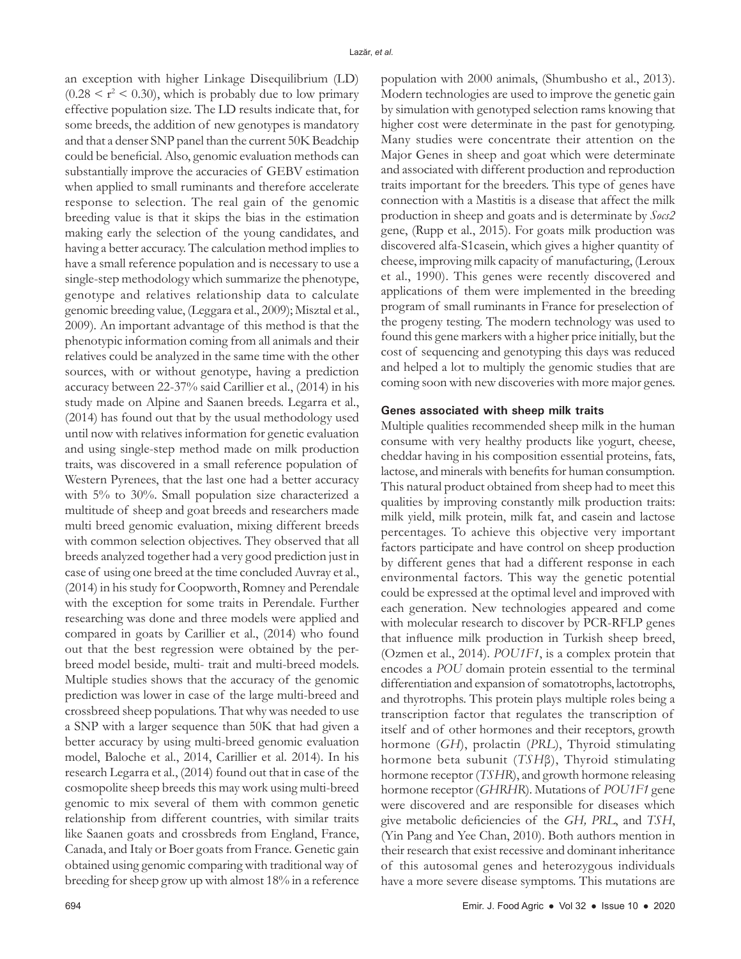an exception with higher Linkage Disequilibrium (LD)  $(0.28 \le r^2 \le 0.30)$ , which is probably due to low primary effective population size. The LD results indicate that, for some breeds, the addition of new genotypes is mandatory and that a denser SNP panel than the current 50K Beadchip could be beneficial. Also, genomic evaluation methods can substantially improve the accuracies of GEBV estimation when applied to small ruminants and therefore accelerate response to selection. The real gain of the genomic breeding value is that it skips the bias in the estimation making early the selection of the young candidates, and having a better accuracy. The calculation method implies to have a small reference population and is necessary to use a single-step methodology which summarize the phenotype, genotype and relatives relationship data to calculate genomic breeding value, (Leggara et al., 2009); Misztal et al., 2009)*.* An important advantage of this method is that the phenotypic information coming from all animals and their relatives could be analyzed in the same time with the other sources, with or without genotype, having a prediction accuracy between 22-37% said Carillier et al., (2014) in his study made on Alpine and Saanen breeds. Legarra et al., (2014) has found out that by the usual methodology used until now with relatives information for genetic evaluation and using single-step method made on milk production traits, was discovered in a small reference population of Western Pyrenees, that the last one had a better accuracy with 5% to 30%. Small population size characterized a multitude of sheep and goat breeds and researchers made multi breed genomic evaluation, mixing different breeds with common selection objectives. They observed that all breeds analyzed together had a very good prediction just in case of using one breed at the time concluded Auvray et al., (2014) in his study for Coopworth, Romney and Perendale with the exception for some traits in Perendale. Further researching was done and three models were applied and compared in goats by Carillier et al., (2014) who found out that the best regression were obtained by the perbreed model beside, multi- trait and multi-breed models. Multiple studies shows that the accuracy of the genomic prediction was lower in case of the large multi-breed and crossbreed sheep populations. That why was needed to use a SNP with a larger sequence than 50K that had given a better accuracy by using multi-breed genomic evaluation model, Baloche et al., 2014, Carillier et al*.* 2014). In his research Legarra et al., (2014) found out that in case of the cosmopolite sheep breeds this may work using multi-breed genomic to mix several of them with common genetic relationship from different countries, with similar traits like Saanen goats and crossbreds from England, France, Canada, and Italy or Boer goats from France. Genetic gain obtained using genomic comparing with traditional way of breeding for sheep grow up with almost 18% in a reference

population with 2000 animals, (Shumbusho et al., 2013). Modern technologies are used to improve the genetic gain by simulation with genotyped selection rams knowing that higher cost were determinate in the past for genotyping. Many studies were concentrate their attention on the Major Genes in sheep and goat which were determinate and associated with different production and reproduction traits important for the breeders. This type of genes have connection with a Mastitis is a disease that affect the milk production in sheep and goats and is determinate by *Socs2* gene, (Rupp et al., 2015). For goats milk production was discovered alfa-S1casein, which gives a higher quantity of cheese, improving milk capacity of manufacturing, (Leroux et al., 1990). This genes were recently discovered and applications of them were implemented in the breeding program of small ruminants in France for preselection of the progeny testing. The modern technology was used to found this gene markers with a higher price initially, but the cost of sequencing and genotyping this days was reduced and helped a lot to multiply the genomic studies that are coming soon with new discoveries with more major genes.

#### **Genes associated with sheep milk traits**

Multiple qualities recommended sheep milk in the human consume with very healthy products like yogurt, cheese, cheddar having in his composition essential proteins, fats, lactose, and minerals with benefits for human consumption. This natural product obtained from sheep had to meet this qualities by improving constantly milk production traits: milk yield, milk protein, milk fat, and casein and lactose percentages. To achieve this objective very important factors participate and have control on sheep production by different genes that had a different response in each environmental factors. This way the genetic potential could be expressed at the optimal level and improved with each generation. New technologies appeared and come with molecular research to discover by PCR-RFLP genes that influence milk production in Turkish sheep breed, (Ozmen et al., 2014). *POU1F1*, is a complex protein that encodes a *POU* domain protein essential to the terminal differentiation and expansion of somatotrophs, lactotrophs, and thyrotrophs. This protein plays multiple roles being a transcription factor that regulates the transcription of itself and of other hormones and their receptors, growth hormone (*GH*), prolactin (*PRL*), Thyroid stimulating hormone beta subunit (*TSH*β), Thyroid stimulating hormone receptor (*TSHR*), and growth hormone releasing hormone receptor (*GHRHR*). Mutations of *POU1F1* gene were discovered and are responsible for diseases which give metabolic deficiencies of the *GH, PRL*, and *TSH*, (Yin Pang and Yee Chan, 2010). Both authors mention in their research that exist recessive and dominant inheritance of this autosomal genes and heterozygous individuals have a more severe disease symptoms. This mutations are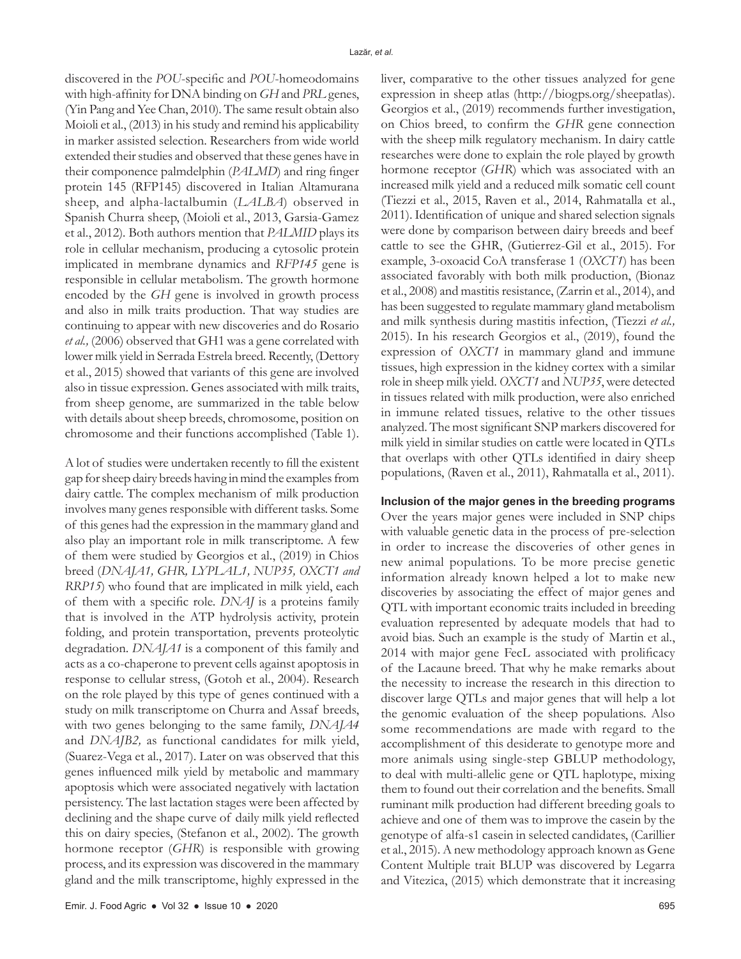discovered in the *POU*-specific and *POU*-homeodomains with high-affinity for DNA binding on *GH* and *PRL* genes, (Yin Pang and Yee Chan, 2010)*.* The same result obtain also Moioli et al., (2013) in his study and remind his applicability in marker assisted selection. Researchers from wide world extended their studies and observed that these genes have in their componence palmdelphin (*PALMD*) and ring finger protein 145 (RFP145) discovered in Italian Altamurana sheep, and alpha-lactalbumin (*LALBA*) observed in Spanish Churra sheep, (Moioli et al., 2013, Garsia-Gamez et al., 2012)*.* Both authors mention that *PALMID* plays its role in cellular mechanism, producing a cytosolic protein implicated in membrane dynamics and *RFP145* gene is responsible in cellular metabolism. The growth hormone encoded by the *GH* gene is involved in growth process and also in milk traits production. That way studies are continuing to appear with new discoveries and do Rosario *et al.,* (2006) observed that GH1 was a gene correlated with lower milk yield in Serrada Estrela breed. Recently, (Dettory et al., 2015) showed that variants of this gene are involved also in tissue expression. Genes associated with milk traits, from sheep genome, are summarized in the table below with details about sheep breeds, chromosome, position on chromosome and their functions accomplished (Table 1).

A lot of studies were undertaken recently to fill the existent gap for sheep dairy breeds having in mind the examples from dairy cattle. The complex mechanism of milk production involves many genes responsible with different tasks. Some of this genes had the expression in the mammary gland and also play an important role in milk transcriptome. A few of them were studied by Georgios et al., (2019) in Chios breed (*DNAJA1, GHR, LYPLAL1, NUP35, OXCT1 and RRP15*) who found that are implicated in milk yield, each of them with a specific role. *DNAJ* is a proteins family that is involved in the ATP hydrolysis activity, protein folding, and protein transportation, prevents proteolytic degradation. *DNAJA1* is a component of this family and acts as a co-chaperone to prevent cells against apoptosis in response to cellular stress, (Gotoh et al., 2004). Research on the role played by this type of genes continued with a study on milk transcriptome on Churra and Assaf breeds, with two genes belonging to the same family, *DNAJA4* and *DNAJB2,* as functional candidates for milk yield, (Suarez-Vega et al., 2017). Later on was observed that this genes influenced milk yield by metabolic and mammary apoptosis which were associated negatively with lactation persistency. The last lactation stages were been affected by declining and the shape curve of daily milk yield reflected this on dairy species, (Stefanon et al., 2002). The growth hormone receptor (*GHR*) is responsible with growing process, and its expression was discovered in the mammary gland and the milk transcriptome, highly expressed in the

liver, comparative to the other tissues analyzed for gene expression in sheep atlas (http://biogps.org/sheepatlas). Georgios et al., (2019) recommends further investigation, on Chios breed, to confirm the *GHR* gene connection with the sheep milk regulatory mechanism. In dairy cattle researches were done to explain the role played by growth hormone receptor (*GHR*) which was associated with an increased milk yield and a reduced milk somatic cell count (Tiezzi et al., 2015, Raven et al., 2014, Rahmatalla et al., 2011). Identification of unique and shared selection signals were done by comparison between dairy breeds and beef cattle to see the GHR, (Gutierrez-Gil et al., 2015). For example, 3-oxoacid CoA transferase 1 (*OXCT1*) has been associated favorably with both milk production, (Bionaz et al., 2008) and mastitis resistance, (Zarrin et al., 2014), and has been suggested to regulate mammary gland metabolism and milk synthesis during mastitis infection, (Tiezzi *et al.,* 2015). In his research Georgios et al., (2019), found the expression of *OXCT1* in mammary gland and immune tissues, high expression in the kidney cortex with a similar role in sheep milk yield. *OXCT1* and *NUP35*, were detected in tissues related with milk production, were also enriched in immune related tissues, relative to the other tissues analyzed. The most significant SNP markers discovered for milk yield in similar studies on cattle were located in QTLs that overlaps with other QTLs identified in dairy sheep populations, (Raven et al., 2011), Rahmatalla et al., 2011).

#### **Inclusion of the major genes in the breeding programs**

Over the years major genes were included in SNP chips with valuable genetic data in the process of pre-selection in order to increase the discoveries of other genes in new animal populations. To be more precise genetic information already known helped a lot to make new discoveries by associating the effect of major genes and QTL with important economic traits included in breeding evaluation represented by adequate models that had to avoid bias. Such an example is the study of Martin et al., 2014 with major gene FecL associated with prolificacy of the Lacaune breed. That why he make remarks about the necessity to increase the research in this direction to discover large QTLs and major genes that will help a lot the genomic evaluation of the sheep populations. Also some recommendations are made with regard to the accomplishment of this desiderate to genotype more and more animals using single-step GBLUP methodology, to deal with multi-allelic gene or QTL haplotype, mixing them to found out their correlation and the benefits. Small ruminant milk production had different breeding goals to achieve and one of them was to improve the casein by the genotype of alfa-s1 casein in selected candidates, (Carillier et al., 2015). A new methodology approach known as Gene Content Multiple trait BLUP was discovered by Legarra and Vitezica, (2015) which demonstrate that it increasing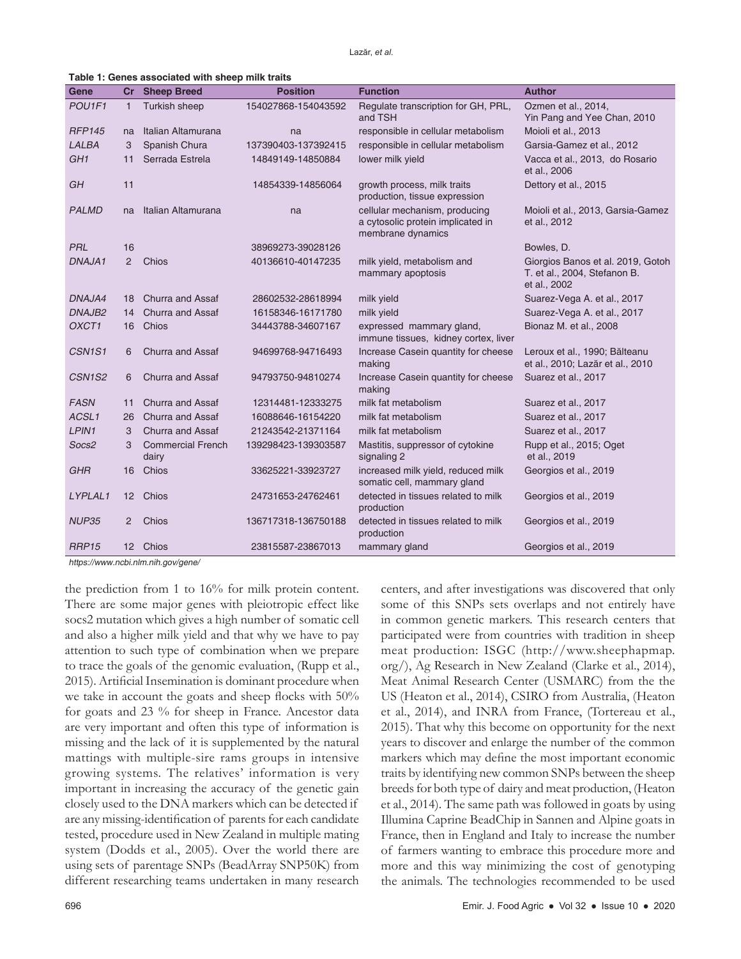|  | Table 1: Genes associated with sheep milk traits |  |  |
|--|--------------------------------------------------|--|--|
|--|--------------------------------------------------|--|--|

| Gene                            | Cr                | <b>Sheep Breed</b>                | <b>Position</b>     | <b>Function</b>                                                                         | <b>Author</b>                                                                     |
|---------------------------------|-------------------|-----------------------------------|---------------------|-----------------------------------------------------------------------------------------|-----------------------------------------------------------------------------------|
| POU1F1                          | $\mathbf{1}$      | Turkish sheep                     | 154027868-154043592 | Regulate transcription for GH, PRL,<br>and TSH                                          | Ozmen et al., 2014,<br>Yin Pang and Yee Chan, 2010                                |
| <b>RFP145</b>                   | na                | Italian Altamurana                | na                  | responsible in cellular metabolism                                                      | Moioli et al., 2013                                                               |
| LALBA                           | 3                 | Spanish Chura                     | 137390403-137392415 | responsible in cellular metabolism                                                      | Garsia-Gamez et al., 2012                                                         |
| GH <sub>1</sub>                 | 11                | Serrada Estrela                   | 14849149-14850884   | lower milk yield                                                                        | Vacca et al., 2013, do Rosario<br>et al., 2006                                    |
| GH                              | 11                |                                   | 14854339-14856064   | growth process, milk traits<br>production, tissue expression                            | Dettory et al., 2015                                                              |
| <b>PALMD</b>                    | na                | Italian Altamurana                | na                  | cellular mechanism, producing<br>a cytosolic protein implicated in<br>membrane dynamics | Moioli et al., 2013, Garsia-Gamez<br>et al., 2012                                 |
| <b>PRL</b>                      | 16                |                                   | 38969273-39028126   |                                                                                         | Bowles, D.                                                                        |
| DNAJA1                          | 2                 | Chios                             | 40136610-40147235   | milk yield, metabolism and<br>mammary apoptosis                                         | Giorgios Banos et al. 2019, Gotoh<br>T. et al., 2004, Stefanon B.<br>et al., 2002 |
| DNAJA4                          | 18                | Churra and Assaf                  | 28602532-28618994   | milk yield                                                                              | Suarez-Vega A. et al., 2017                                                       |
| DNAJB2                          | 14                | Churra and Assaf                  | 16158346-16171780   | milk yield                                                                              | Suarez-Vega A. et al., 2017                                                       |
| OXCT1                           | 16                | Chios                             | 34443788-34607167   | expressed mammary gland,<br>immune tissues, kidney cortex, liver                        | Bionaz M. et al., 2008                                                            |
| CSN <sub>1S1</sub>              | 6                 | Churra and Assaf                  | 94699768-94716493   | Increase Casein quantity for cheese<br>making                                           | Leroux et al., 1990; Bălteanu<br>et al., 2010; Lazăr et al., 2010                 |
| CSN <sub>1</sub> S <sub>2</sub> | 6                 | Churra and Assaf                  | 94793750-94810274   | Increase Casein quantity for cheese<br>making                                           | Suarez et al., 2017                                                               |
| <b>FASN</b>                     | 11                | Churra and Assaf                  | 12314481-12333275   | milk fat metabolism                                                                     | Suarez et al., 2017                                                               |
| ACSL1                           | 26                | Churra and Assaf                  | 16088646-16154220   | milk fat metabolism                                                                     | Suarez et al., 2017                                                               |
| LPIN1                           | 3                 | Churra and Assaf                  | 21243542-21371164   | milk fat metabolism                                                                     | Suarez et al., 2017                                                               |
| Socs2                           | 3                 | <b>Commercial French</b><br>dairy | 139298423-139303587 | Mastitis, suppressor of cytokine<br>signaling 2                                         | Rupp et al., 2015; Oget<br>et al., 2019                                           |
| <b>GHR</b>                      | 16                | Chios                             | 33625221-33923727   | increased milk yield, reduced milk<br>somatic cell, mammary gland                       | Georgios et al., 2019                                                             |
| LYPLAL1                         | $12 \overline{ }$ | Chios                             | 24731653-24762461   | detected in tissues related to milk<br>production                                       | Georgios et al., 2019                                                             |
| <b>NUP35</b>                    | 2                 | Chios                             | 136717318-136750188 | detected in tissues related to milk<br>production                                       | Georgios et al., 2019                                                             |
| RRP <sub>15</sub>               | 12 <sup>2</sup>   | Chios                             | 23815587-23867013   | mammary gland                                                                           | Georgios et al., 2019                                                             |

https://www.ncbi.nlm.nih.gov/gene/

the prediction from 1 to 16% for milk protein content. There are some major genes with pleiotropic effect like socs2 mutation which gives a high number of somatic cell and also a higher milk yield and that why we have to pay attention to such type of combination when we prepare to trace the goals of the genomic evaluation, (Rupp et al., 2015). Artificial Insemination is dominant procedure when we take in account the goats and sheep flocks with 50% for goats and 23 % for sheep in France. Ancestor data are very important and often this type of information is missing and the lack of it is supplemented by the natural mattings with multiple-sire rams groups in intensive growing systems. The relatives' information is very important in increasing the accuracy of the genetic gain closely used to the DNA markers which can be detected if are any missing-identification of parents for each candidate tested, procedure used in New Zealand in multiple mating system (Dodds et al., 2005). Over the world there are using sets of parentage SNPs (BeadArray SNP50K) from different researching teams undertaken in many research

some of this SNPs sets overlaps and not entirely have in common genetic markers. This research centers that participated were from countries with tradition in sheep meat production: ISGC (http://www.sheephapmap. org/), Ag Research in New Zealand (Clarke et al., 2014), Meat Animal Research Center (USMARC) from the the US (Heaton et al., 2014), CSIRO from Australia, (Heaton et al., 2014), and INRA from France, (Tortereau et al., 2015). That why this become on opportunity for the next years to discover and enlarge the number of the common markers which may define the most important economic traits by identifying new common SNPs between the sheep breeds for both type of dairy and meat production, (Heaton et al., 2014). The same path was followed in goats by using Illumina Caprine BeadChip in Sannen and Alpine goats in France, then in England and Italy to increase the number of farmers wanting to embrace this procedure more and more and this way minimizing the cost of genotyping the animals. The technologies recommended to be used

centers, and after investigations was discovered that only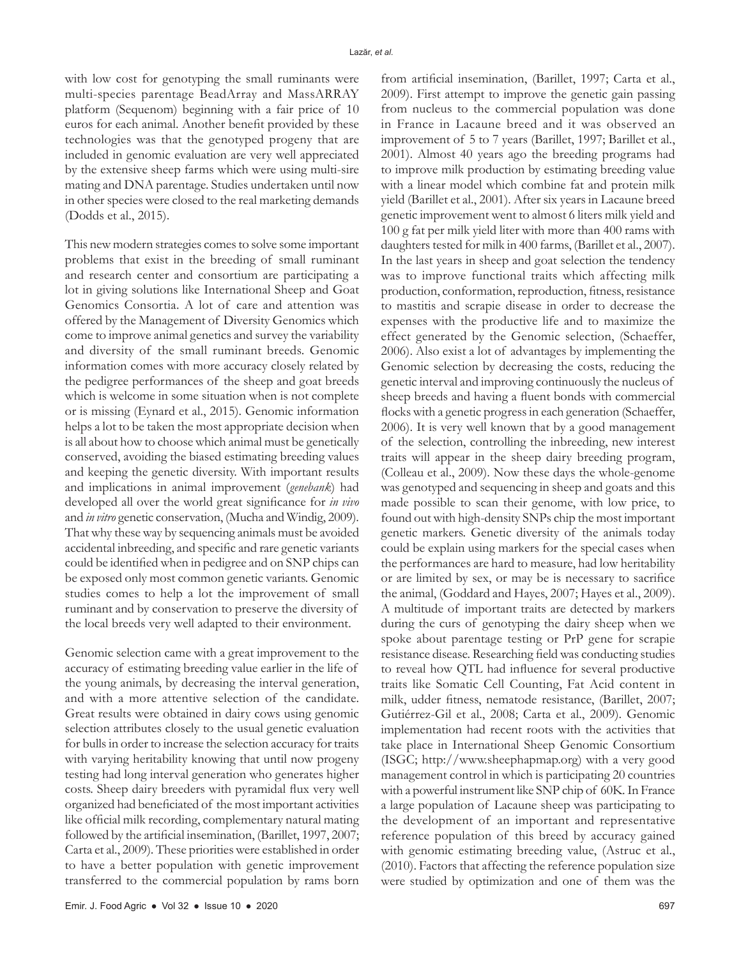with low cost for genotyping the small ruminants were multi-species parentage BeadArray and MassARRAY platform (Sequenom) beginning with a fair price of 10 euros for each animal. Another benefit provided by these technologies was that the genotyped progeny that are included in genomic evaluation are very well appreciated by the extensive sheep farms which were using multi-sire mating and DNA parentage. Studies undertaken until now in other species were closed to the real marketing demands (Dodds et al., 2015).

This new modern strategies comes to solve some important problems that exist in the breeding of small ruminant and research center and consortium are participating a lot in giving solutions like International Sheep and Goat Genomics Consortia. A lot of care and attention was offered by the Management of Diversity Genomics which come to improve animal genetics and survey the variability and diversity of the small ruminant breeds. Genomic information comes with more accuracy closely related by the pedigree performances of the sheep and goat breeds which is welcome in some situation when is not complete or is missing (Eynard et al., 2015). Genomic information helps a lot to be taken the most appropriate decision when is all about how to choose which animal must be genetically conserved, avoiding the biased estimating breeding values and keeping the genetic diversity. With important results and implications in animal improvement (*genebank*) had developed all over the world great significance for *in vivo* and *in vitro* genetic conservation, (Mucha and Windig, 2009). That why these way by sequencing animals must be avoided accidental inbreeding, and specific and rare genetic variants could be identified when in pedigree and on SNP chips can be exposed only most common genetic variants. Genomic studies comes to help a lot the improvement of small ruminant and by conservation to preserve the diversity of the local breeds very well adapted to their environment.

Genomic selection came with a great improvement to the accuracy of estimating breeding value earlier in the life of the young animals, by decreasing the interval generation, and with a more attentive selection of the candidate. Great results were obtained in dairy cows using genomic selection attributes closely to the usual genetic evaluation for bulls in order to increase the selection accuracy for traits with varying heritability knowing that until now progeny testing had long interval generation who generates higher costs. Sheep dairy breeders with pyramidal flux very well organized had beneficiated of the most important activities like official milk recording, complementary natural mating followed by the artificial insemination, (Barillet, 1997, 2007; Carta et al., 2009). These priorities were established in order to have a better population with genetic improvement transferred to the commercial population by rams born

from artificial insemination, (Barillet, 1997; Carta et al., 2009). First attempt to improve the genetic gain passing from nucleus to the commercial population was done in France in Lacaune breed and it was observed an improvement of 5 to 7 years (Barillet, 1997; Barillet et al., 2001). Almost 40 years ago the breeding programs had to improve milk production by estimating breeding value with a linear model which combine fat and protein milk yield (Barillet et al., 2001). After six years in Lacaune breed genetic improvement went to almost 6 liters milk yield and 100 g fat per milk yield liter with more than 400 rams with daughters tested for milk in 400 farms, (Barillet et al., 2007). In the last years in sheep and goat selection the tendency was to improve functional traits which affecting milk production, conformation, reproduction, fitness, resistance to mastitis and scrapie disease in order to decrease the expenses with the productive life and to maximize the effect generated by the Genomic selection, (Schaeffer, 2006). Also exist a lot of advantages by implementing the Genomic selection by decreasing the costs, reducing the genetic interval and improving continuously the nucleus of sheep breeds and having a fluent bonds with commercial flocks with a genetic progress in each generation (Schaeffer, 2006). It is very well known that by a good management of the selection, controlling the inbreeding, new interest traits will appear in the sheep dairy breeding program, (Colleau et al., 2009). Now these days the whole-genome was genotyped and sequencing in sheep and goats and this made possible to scan their genome, with low price, to found out with high-density SNPs chip the most important genetic markers. Genetic diversity of the animals today could be explain using markers for the special cases when the performances are hard to measure, had low heritability or are limited by sex, or may be is necessary to sacrifice the animal, (Goddard and Hayes, 2007; Hayes et al., 2009). A multitude of important traits are detected by markers during the curs of genotyping the dairy sheep when we spoke about parentage testing or PrP gene for scrapie resistance disease. Researching field was conducting studies to reveal how QTL had influence for several productive traits like Somatic Cell Counting, Fat Acid content in milk, udder fitness, nematode resistance, (Barillet, 2007; Gutiérrez-Gil et al., 2008; Carta et al., 2009). Genomic implementation had recent roots with the activities that take place in International Sheep Genomic Consortium (ISGC; http://www.sheephapmap.org) with a very good management control in which is participating 20 countries with a powerful instrument like SNP chip of 60K. In France a large population of Lacaune sheep was participating to the development of an important and representative reference population of this breed by accuracy gained with genomic estimating breeding value, (Astruc et al., (2010). Factors that affecting the reference population size were studied by optimization and one of them was the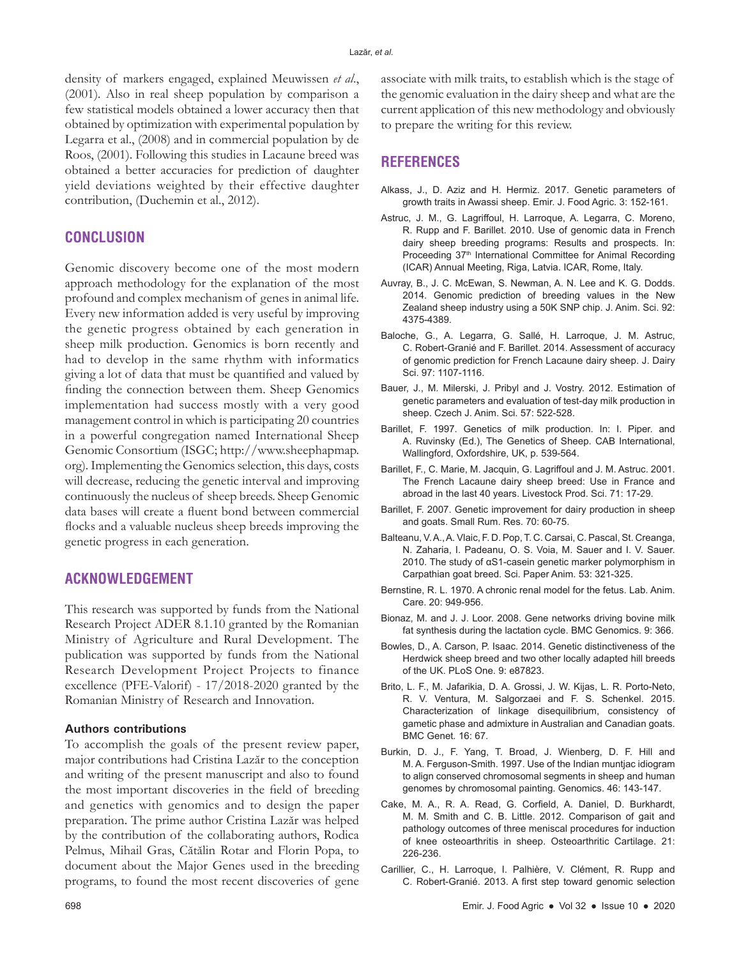density of markers engaged, explained Meuwissen *et al*., (2001)*.* Also in real sheep population by comparison a few statistical models obtained a lower accuracy then that obtained by optimization with experimental population by Legarra et al., (2008) and in commercial population by de Roos, (2001). Following this studies in Lacaune breed was obtained a better accuracies for prediction of daughter yield deviations weighted by their effective daughter contribution, (Duchemin et al., 2012).

# **CONCLUSION**

Genomic discovery become one of the most modern approach methodology for the explanation of the most profound and complex mechanism of genes in animal life. Every new information added is very useful by improving the genetic progress obtained by each generation in sheep milk production. Genomics is born recently and had to develop in the same rhythm with informatics giving a lot of data that must be quantified and valued by finding the connection between them. Sheep Genomics implementation had success mostly with a very good management control in which is participating 20 countries in a powerful congregation named International Sheep Genomic Consortium (ISGC; http://www.sheephapmap. org). Implementing the Genomics selection, this days, costs will decrease, reducing the genetic interval and improving continuously the nucleus of sheep breeds. Sheep Genomic data bases will create a fluent bond between commercial flocks and a valuable nucleus sheep breeds improving the genetic progress in each generation.

### **ACKNOWLEDGEMENT**

This research was supported by funds from the National Research Project ADER 8.1.10 granted by the Romanian Ministry of Agriculture and Rural Development. The publication was supported by funds from the National Research Development Project Projects to finance excellence (PFE-Valorif) - 17/2018-2020 granted by the Romanian Ministry of Research and Innovation.

#### **Authors contributions**

To accomplish the goals of the present review paper, major contributions had Cristina Lazăr to the conception and writing of the present manuscript and also to found the most important discoveries in the field of breeding and genetics with genomics and to design the paper preparation. The prime author Cristina Lazăr was helped by the contribution of the collaborating authors, Rodica Pelmus, Mihail Gras, Cătălin Rotar and Florin Popa, to document about the Major Genes used in the breeding programs, to found the most recent discoveries of gene

associate with milk traits, to establish which is the stage of the genomic evaluation in the dairy sheep and what are the current application of this new methodology and obviously to prepare the writing for this review.

## **REFERENCES**

- Alkass, J., D. Aziz and H. Hermiz. 2017. Genetic parameters of growth traits in Awassi sheep. Emir. J. Food Agric. 3: 152-161.
- Astruc, J. M., G. Lagriffoul, H. Larroque, A. Legarra, C. Moreno, R. Rupp and F. Barillet. 2010. Use of genomic data in French dairy sheep breeding programs: Results and prospects. In: Proceeding 37<sup>th</sup> International Committee for Animal Recording (ICAR) Annual Meeting, Riga, Latvia. ICAR, Rome, Italy.
- Auvray, B., J. C. McEwan, S. Newman, A. N. Lee and K. G. Dodds. 2014. Genomic prediction of breeding values in the New Zealand sheep industry using a 50K SNP chip. J. Anim. Sci. 92: 4375-4389.
- Baloche, G., A. Legarra, G. Sallé, H. Larroque, J. M. Astruc, C. Robert-Granié and F. Barillet. 2014. Assessment of accuracy of genomic prediction for French Lacaune dairy sheep. J. Dairy Sci. 97: 1107-1116.
- Bauer, J., M. Milerski, J. Pribyl and J. Vostry. 2012. Estimation of genetic parameters and evaluation of test-day milk production in sheep. Czech J. Anim. Sci. 57: 522-528.
- Barillet, F. 1997. Genetics of milk production. In: I. Piper. and A. Ruvinsky (Ed.), The Genetics of Sheep. CAB International, Wallingford, Oxfordshire, UK, p. 539-564.
- Barillet, F., C. Marie, M. Jacquin, G. Lagriffoul and J. M. Astruc. 2001. The French Lacaune dairy sheep breed: Use in France and abroad in the last 40 years. Livestock Prod. Sci. 71: 17-29.
- Barillet, F. 2007. Genetic improvement for dairy production in sheep and goats. Small Rum. Res. 70: 60-75.
- Balteanu, V. A., A. Vlaic, F. D. Pop, T. C. Carsai, C. Pascal, St. Creanga, N. Zaharia, I. Padeanu, O. S. Voia, M. Sauer and I. V. Sauer. 2010. The study of αS1-casein genetic marker polymorphism in Carpathian goat breed. Sci. Paper Anim. 53: 321-325.
- Bernstine, R. L. 1970. A chronic renal model for the fetus. Lab. Anim. Care. 20: 949-956.
- Bionaz, M. and J. J. Loor. 2008. Gene networks driving bovine milk fat synthesis during the lactation cycle. BMC Genomics. 9: 366.
- Bowles, D., A. Carson, P. Isaac. 2014. Genetic distinctiveness of the Herdwick sheep breed and two other locally adapted hill breeds of the UK. PLoS One. 9: e87823.
- Brito, L. F., M. Jafarikia, D. A. Grossi, J. W. Kijas, L. R. Porto-Neto, R. V. Ventura, M. Salgorzaei and F. S. Schenkel. 2015. Characterization of linkage disequilibrium, consistency of gametic phase and admixture in Australian and Canadian goats. BMC Genet*.* 16: 67.
- Burkin, D. J., F. Yang, T. Broad, J. Wienberg, D. F. Hill and M. A. Ferguson-Smith. 1997. Use of the Indian muntjac idiogram to align conserved chromosomal segments in sheep and human genomes by chromosomal painting. Genomics. 46: 143-147.
- Cake, M. A., R. A. Read, G. Corfield, A. Daniel, D. Burkhardt, M. M. Smith and C. B. Little. 2012. Comparison of gait and pathology outcomes of three meniscal procedures for induction of knee osteoarthritis in sheep. Osteoarthritic Cartilage. 21: 226-236.
- Carillier, C., H. Larroque, I. Palhière, V. Clément, R. Rupp and C. Robert-Granié. 2013. A first step toward genomic selection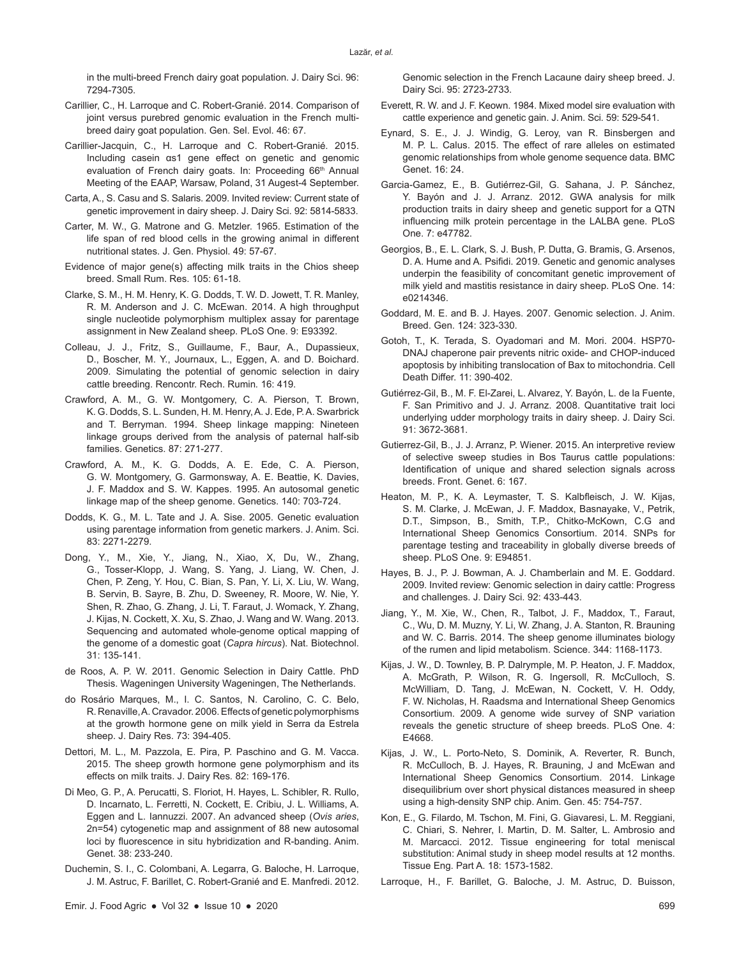in the multi-breed French dairy goat population. J. Dairy Sci. 96: 7294-7305.

- Carillier, C., H. Larroque and C. Robert-Granié. 2014. Comparison of joint versus purebred genomic evaluation in the French multibreed dairy goat population. Gen. Sel. Evol. 46: 67.
- Carillier-Jacquin, C., H. Larroque and C. Robert-Granié. 2015. Including casein αs1 gene effect on genetic and genomic evaluation of French dairy goats. In: Proceeding 66<sup>th</sup> Annual Meeting of the EAAP, Warsaw, Poland, 31 Augest-4 September.
- Carta, A., S. Casu and S. Salaris. 2009. Invited review: Current state of genetic improvement in dairy sheep. J. Dairy Sci. 92: 5814-5833.
- Carter, M. W., G. Matrone and G. Metzler. 1965. Estimation of the life span of red blood cells in the growing animal in different nutritional states. J. Gen. Physiol. 49: 57-67.
- Evidence of major gene(s) affecting milk traits in the Chios sheep breed. Small Rum. Res. 105: 61-18.
- Clarke, S. M., H. M. Henry, K. G. Dodds, T. W. D. Jowett, T. R. Manley, R. M. Anderson and J. C. McEwan. 2014. A high throughput single nucleotide polymorphism multiplex assay for parentage assignment in New Zealand sheep. PLoS One. 9: E93392.
- Colleau, J. J., Fritz, S., Guillaume, F., Baur, A., Dupassieux, D., Boscher, M. Y., Journaux, L., Eggen, A. and D. Boichard. 2009. Simulating the potential of genomic selection in dairy cattle breeding. Rencontr. Rech. Rumin*.* 16: 419.
- Crawford, A. M., G. W. Montgomery, C. A. Pierson, T. Brown, K. G. Dodds, S. L. Sunden, H. M. Henry, A. J. Ede, P.A. Swarbrick and T. Berryman. 1994. Sheep linkage mapping: Nineteen linkage groups derived from the analysis of paternal half-sib families. Genetics. 87: 271-277.
- Crawford, A. M., K. G. Dodds, A. E. Ede, C. A. Pierson, G. W. Montgomery, G. Garmonsway, A. E. Beattie, K. Davies, J. F. Maddox and S. W. Kappes. 1995. An autosomal genetic linkage map of the sheep genome. Genetics. 140: 703-724.
- Dodds, K. G., M. L. Tate and J. A. Sise. 2005. Genetic evaluation using parentage information from genetic markers. J. Anim. Sci. 83: 2271-2279.
- Dong, Y., M., Xie, Y., Jiang, N., Xiao, X, Du, W., Zhang, G., Tosser-Klopp, J. Wang, S. Yang, J. Liang, W. Chen, J. Chen, P. Zeng, Y. Hou, C. Bian, S. Pan, Y. Li, X. Liu, W. Wang, B. Servin, B. Sayre, B. Zhu, D. Sweeney, R. Moore, W. Nie, Y. Shen, R. Zhao, G. Zhang, J. Li, T. Faraut, J. Womack, Y. Zhang, J. Kijas, N. Cockett, X. Xu, S. Zhao, J. Wang and W. Wang. 2013. Sequencing and automated whole-genome optical mapping of the genome of a domestic goat (*Capra hircus*). Nat. Biotechnol. 31: 135-141.
- de Roos, A. P. W. 2011. Genomic Selection in Dairy Cattle. PhD Thesis. Wageningen University Wageningen, The Netherlands.
- do Rosário Marques, M., I. C. Santos, N. Carolino, C. C. Belo, R. Renaville, A. Cravador. 2006. Effects of genetic polymorphisms at the growth hormone gene on milk yield in Serra da Estrela sheep. J. Dairy Res. 73: 394-405.
- Dettori, M. L., M. Pazzola, E. Pira, P. Paschino and G. M. Vacca. 2015. The sheep growth hormone gene polymorphism and its effects on milk traits. J. Dairy Res*.* 82: 169-176.
- Di Meo, G. P., A. Perucatti, S. Floriot, H. Hayes, L. Schibler, R. Rullo, D. Incarnato, L. Ferretti, N. Cockett, E. Cribiu, J. L. Williams, A. Eggen and L. Iannuzzi. 2007. An advanced sheep (*Ovis aries*, 2n=54) cytogenetic map and assignment of 88 new autosomal loci by fluorescence in situ hybridization and R-banding. Anim. Genet. 38: 233-240.
- Duchemin, S. I., C. Colombani, A. Legarra, G. Baloche, H. Larroque, J. M. Astruc, F. Barillet, C. Robert-Granié and E. Manfredi. 2012.

Genomic selection in the French Lacaune dairy sheep breed. J. Dairy Sci. 95: 2723-2733.

- Everett, R. W. and J. F. Keown. 1984. Mixed model sire evaluation with cattle experience and genetic gain. J. Anim. Sci. 59: 529-541.
- Eynard, S. E., J. J. Windig, G. Leroy, van R. Binsbergen and M. P. L. Calus. 2015. The effect of rare alleles on estimated genomic relationships from whole genome sequence data. BMC Genet. 16: 24.
- Garcia-Gamez, E., B. Gutiérrez-Gil, G. Sahana, J. P. Sánchez, Y. Bayón and J. J. Arranz. 2012. GWA analysis for milk production traits in dairy sheep and genetic support for a QTN influencing milk protein percentage in the LALBA gene. PLoS One. 7: e47782.
- Georgios, B., E. L. Clark, S. J. Bush, P. Dutta, G. Bramis, G. Arsenos, D. A. Hume and A. Psifidi. 2019. Genetic and genomic analyses underpin the feasibility of concomitant genetic improvement of milk yield and mastitis resistance in dairy sheep. PLoS One. 14: e0214346.
- Goddard, M. E. and B. J. Hayes. 2007. Genomic selection. J. Anim. Breed. Gen. 124: 323-330.
- Gotoh, T., K. Terada, S. Oyadomari and M. Mori. 2004. HSP70- DNAJ chaperone pair prevents nitric oxide- and CHOP-induced apoptosis by inhibiting translocation of Bax to mitochondria. Cell Death Differ. 11: 390-402.
- Gutiérrez-Gil, B., M. F. El-Zarei, L. Alvarez, Y. Bayón, L. de la Fuente, F. San Primitivo and J. J. Arranz. 2008. Quantitative trait loci underlying udder morphology traits in dairy sheep. J. Dairy Sci. 91: 3672-3681.
- Gutierrez-Gil, B., J. J. Arranz, P. Wiener. 2015. An interpretive review of selective sweep studies in Bos Taurus cattle populations: Identification of unique and shared selection signals across breeds. Front. Genet. 6: 167.
- Heaton, M. P., K. A. Leymaster, T. S. Kalbfleisch, J. W. Kijas, S. M. Clarke, J. McEwan, J. F. Maddox, Basnayake, V., Petrik, D.T., Simpson, B., Smith, T.P., Chitko-McKown, C.G and International Sheep Genomics Consortium. 2014. SNPs for parentage testing and traceability in globally diverse breeds of sheep. PLoS One. 9: E94851.
- Hayes, B. J., P. J. Bowman, A. J. Chamberlain and M. E. Goddard. 2009. Invited review: Genomic selection in dairy cattle: Progress and challenges. J. Dairy Sci. 92: 433-443.
- Jiang, Y., M. Xie, W., Chen, R., Talbot, J. F., Maddox, T., Faraut, C., Wu, D. M. Muzny, Y. Li, W. Zhang, J. A. Stanton, R. Brauning and W. C. Barris. 2014. The sheep genome illuminates biology of the rumen and lipid metabolism. Science. 344: 1168-1173.
- Kijas, J. W., D. Townley, B. P. Dalrymple, M. P. Heaton, J. F. Maddox, A. McGrath, P. Wilson, R. G. Ingersoll, R. McCulloch, S. McWilliam, D. Tang, J. McEwan, N. Cockett, V. H. Oddy, F. W. Nicholas, H. Raadsma and International Sheep Genomics Consortium. 2009. A genome wide survey of SNP variation reveals the genetic structure of sheep breeds. PLoS One. 4: E4668.
- Kijas, J. W., L. Porto-Neto, S. Dominik, A. Reverter, R. Bunch, R. McCulloch, B. J. Hayes, R. Brauning, J and McEwan and International Sheep Genomics Consortium. 2014. Linkage disequilibrium over short physical distances measured in sheep using a high-density SNP chip. Anim. Gen. 45: 754-757.
- Kon, E., G. Filardo, M. Tschon, M. Fini, G. Giavaresi, L. M. Reggiani, C. Chiari, S. Nehrer, I. Martin, D. M. Salter, L. Ambrosio and M. Marcacci. 2012. Tissue engineering for total meniscal substitution: Animal study in sheep model results at 12 months. Tissue Eng. Part A. 18: 1573-1582.
- Larroque, H., F. Barillet, G. Baloche, J. M. Astruc, D. Buisson,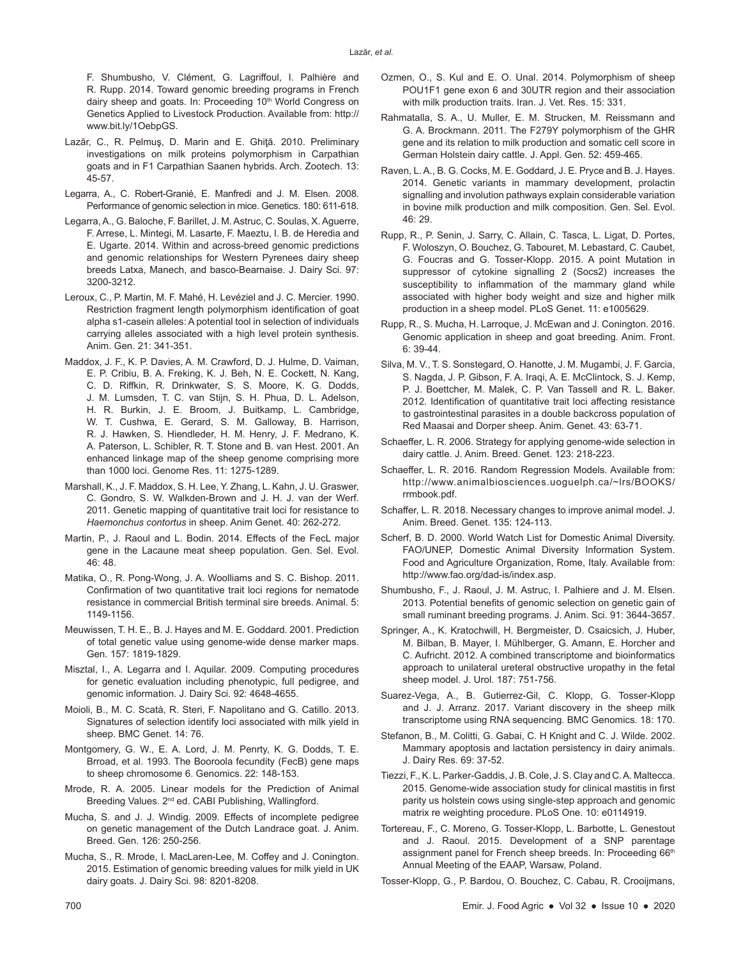F. Shumbusho, V. Clément, G. Lagriffoul, I. Palhière and R. Rupp. 2014. Toward genomic breeding programs in French dairy sheep and goats. In: Proceeding 10<sup>th</sup> World Congress on Genetics Applied to Livestock Production. Available from: http:// www.bit.ly/1OebpGS.

- Lazăr, C., R. Pelmuş, D. Marin and E. Ghiţă. 2010. Preliminary investigations on milk proteins polymorphism in Carpathian goats and in F1 Carpathian Saanen hybrids. Arch. Zootech. 13: 45-57.
- Legarra, A., C. Robert-Granié, E. Manfredi and J. M. Elsen. 2008. Performance of genomic selection in mice. Genetics. 180: 611-618.
- Legarra, A., G. Baloche, F. Barillet, J. M. Astruc, C. Soulas, X. Aguerre, F. Arrese, L. Mintegi, M. Lasarte, F. Maeztu, I. B. de Heredia and E. Ugarte. 2014. Within and across-breed genomic predictions and genomic relationships for Western Pyrenees dairy sheep breeds Latxa, Manech, and basco-Bearnaise. J. Dairy Sci. 97: 3200-3212.
- Leroux, C., P. Martin, M. F. Mahé, H. Levéziel and J. C. Mercier. 1990. Restriction fragment length polymorphism identification of goat alpha s1-casein alleles: A potential tool in selection of individuals carrying alleles associated with a high level protein synthesis. Anim. Gen. 21: 341-351.
- Maddox, J. F., K. P. Davies, A. M. Crawford, D. J. Hulme, D. Vaiman, E. P. Cribiu, B. A. Freking, K. J. Beh, N. E. Cockett, N. Kang, C. D. Riffkin, R. Drinkwater, S. S. Moore, K. G. Dodds, J. M. Lumsden, T. C. van Stijn, S. H. Phua, D. L. Adelson, H. R. Burkin, J. E. Broom, J. Buitkamp, L. Cambridge, W. T. Cushwa, E. Gerard, S. M. Galloway, B. Harrison, R. J. Hawken, S. Hiendleder, H. M. Henry, J. F. Medrano, K. A. Paterson, L. Schibler, R. T. Stone and B. van Hest. 2001. An enhanced linkage map of the sheep genome comprising more than 1000 loci. Genome Res. 11: 1275-1289.
- Marshall, K., J. F. Maddox, S. H. Lee, Y. Zhang, L. Kahn, J. U. Graswer, C. Gondro, S. W. Walkden-Brown and J. H. J. van der Werf. 2011. Genetic mapping of quantitative trait loci for resistance to *Haemonchus contortus* in sheep. Anim Genet. 40: 262-272.
- Martin, P., J. Raoul and L. Bodin. 2014. Effects of the FecL major gene in the Lacaune meat sheep population. Gen. Sel. Evol. 46: 48.
- Matika, O., R. Pong-Wong, J. A. Woolliams and S. C. Bishop. 2011. Confirmation of two quantitative trait loci regions for nematode resistance in commercial British terminal sire breeds. Animal. 5: 1149-1156.
- Meuwissen, T. H. E., B. J. Hayes and M. E. Goddard. 2001. Prediction of total genetic value using genome-wide dense marker maps. Gen*.* 157: 1819-1829.
- Misztal, I., A. Legarra and I. Aquilar. 2009. Computing procedures for genetic evaluation including phenotypic, full pedigree, and genomic information. J. Dairy Sci. 92: 4648-4655.
- Moioli, B., M. C. Scatà, R. Steri, F. Napolitano and G. Catillo. 2013. Signatures of selection identify loci associated with milk yield in sheep. BMC Genet. 14: 76.
- Montgomery, G. W., E. A. Lord, J. M. Penrty, K. G. Dodds, T. E. Brroad, et al. 1993. The Booroola fecundity (FecB) gene maps to sheep chromosome 6. Genomics. 22: 148-153.
- Mrode, R. A. 2005. Linear models for the Prediction of Animal Breeding Values. 2<sup>nd</sup> ed. CABI Publishing, Wallingford.
- Mucha, S. and J. J. Windig. 2009. Effects of incomplete pedigree on genetic management of the Dutch Landrace goat. J. Anim. Breed. Gen. 126: 250-256.
- Mucha, S., R. Mrode, I. MacLaren-Lee, M. Coffey and J. Conington. 2015. Estimation of genomic breeding values for milk yield in UK dairy goats. J. Dairy Sci. 98: 8201-8208.
- Ozmen, O., S. Kul and E. O. Unal. 2014. Polymorphism of sheep POU1F1 gene exon 6 and 30UTR region and their association with milk production traits. Iran. J. Vet. Res. 15: 331.
- Rahmatalla, S. A., U. Muller, E. M. Strucken, M. Reissmann and G. A. Brockmann. 2011. The F279Y polymorphism of the GHR gene and its relation to milk production and somatic cell score in German Holstein dairy cattle. J. Appl. Gen. 52: 459-465.
- Raven, L. A., B. G. Cocks, M. E. Goddard, J. E. Pryce and B. J. Hayes. 2014. Genetic variants in mammary development, prolactin signalling and involution pathways explain considerable variation in bovine milk production and milk composition. Gen. Sel. Evol. 46: 29.
- Rupp, R., P. Senin, J. Sarry, C. Allain, C. Tasca, L. Ligat, D. Portes, F. Woloszyn, O. Bouchez, G. Tabouret, M. Lebastard, C. Caubet, G. Foucras and G. Tosser-Klopp. 2015. A point Mutation in suppressor of cytokine signalling 2 (Socs2) increases the susceptibility to inflammation of the mammary gland while associated with higher body weight and size and higher milk production in a sheep model. PLoS Genet. 11: e1005629.
- Rupp, R., S. Mucha, H. Larroque, J. McEwan and J. Conington. 2016. Genomic application in sheep and goat breeding. Anim. Front. 6: 39-44.
- Silva, M. V., T. S. Sonstegard, O. Hanotte, J. M. Mugambi, J. F. Garcia, S. Nagda, J. P. Gibson, F. A. Iraqi, A. E. McClintock, S. J. Kemp, P. J. Boettcher, M. Malek, C. P. Van Tassell and R. L. Baker. 2012. Identification of quantitative trait loci affecting resistance to gastrointestinal parasites in a double backcross population of Red Maasai and Dorper sheep. Anim. Genet. 43: 63-71.
- Schaeffer, L. R. 2006. Strategy for applying genome-wide selection in dairy cattle. J. Anim. Breed. Genet. 123: 218-223.
- Schaeffer, L. R. 2016. Random Regression Models. Available from: http://www.animalbiosciences.uoguelph.ca/~lrs/BOOKS/ rrmbook.pdf.
- Schaffer, L. R. 2018. Necessary changes to improve animal model. J. Anim. Breed. Genet. 135: 124-113.
- Scherf, B. D. 2000. World Watch List for Domestic Animal Diversity. FAO/UNEP, Domestic Animal Diversity Information System. Food and Agriculture Organization, Rome, Italy. Available from: http://www.fao.org/dad-is/index.asp.
- Shumbusho, F., J. Raoul, J. M. Astruc, I. Palhiere and J. M. Elsen. 2013. Potential benefits of genomic selection on genetic gain of small ruminant breeding programs. J. Anim. Sci. 91: 3644-3657.
- Springer, A., K. Kratochwill, H. Bergmeister, D. Csaicsich, J. Huber, M. Bilban, B. Mayer, I. Mühlberger, G. Amann, E. Horcher and C. Aufricht. 2012. A combined transcriptome and bioinformatics approach to unilateral ureteral obstructive uropathy in the fetal sheep model. J. Urol. 187: 751-756.
- Suarez-Vega, A., B. Gutierrez-Gil, C. Klopp, G. Tosser-Klopp and J. J. Arranz. 2017. Variant discovery in the sheep milk transcriptome using RNA sequencing. BMC Genomics*.* 18: 170.
- Stefanon, B., M. Colitti, G. Gabai, C. H Knight and C. J. Wilde. 2002. Mammary apoptosis and lactation persistency in dairy animals. J. Dairy Res. 69: 37-52.
- Tiezzi, F., K. L. Parker-Gaddis, J. B. Cole, J. S. Clay and C. A. Maltecca. 2015. Genome-wide association study for clinical mastitis in first parity us holstein cows using single-step approach and genomic matrix re weighting procedure. PLoS One. 10: e0114919.
- Tortereau, F., C. Moreno, G. Tosser-Klopp, L. Barbotte, L. Genestout and J. Raoul. 2015. Development of a SNP parentage assignment panel for French sheep breeds. In: Proceeding 66th Annual Meeting of the EAAP, Warsaw, Poland.
- Tosser-Klopp, G., P. Bardou, O. Bouchez, C. Cabau, R. Crooijmans,